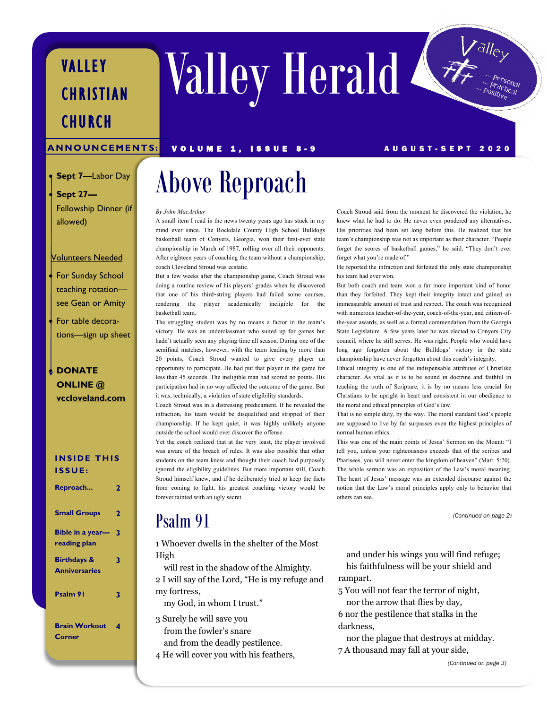## VALLEY **CHRISTIAN** CHURCH

### A N NOUNCEMENTS: VOLUME 1, ISSUE 8-9 A U GUST-SEPT 2020

Valley Herald

#### • **Sept 7—**Labor Day

### • **Sept 27—** Fellowship Dinner (if allowed)

### Volunteers Needed

- For Sunday School teaching rotation see Gean or Amity
- For table decorations—sign up sheet

### • **DONATE ONLINE @ [vccloveland.com](https://vccloveland.com)**

**INSIDE THIS** 

### **I S S U E : Reproach... 2 Small Groups 2 Bible in a year— 3 reading plan Birthdays & Anniversaries 3 Psalm 91 3 Brain Workout Corner 4**

# Above Reproach

#### *By John MacArthur*

A small item I read in the news twenty years ago has stuck in my mind ever since. The Rockdale County High School Bulldogs basketball team of Conyers, Georgia, won their first-ever state championship in March of 1987, rolling over all their opponents. After eighteen years of coaching the team without a championship, coach Cleveland Stroud was ecstatic.

But a few weeks after the championship game, Coach Stroud was doing a routine review of his players' grades when he discovered that one of his third-string players had failed some courses, rendering the player academically ineligible for the basketball team.

The struggling student was by no means a factor in the team's victory. He was an underclassman who suited up for games but hadn't actually seen any playing time all season. During one of the semifinal matches, however, with the team leading by more than 20 points, Coach Stroud wanted to give every player an opportunity to participate. He had put that player in the game for less than 45 seconds. The ineligible man had scored no points. His participation had in no way affected the outcome of the game. But it was, technically, a violation of state eligibility standards.

Coach Stroud was in a distressing predicament. If he revealed the infraction, his team would be disqualified and stripped of their championship. If he kept quiet, it was highly unlikely anyone outside the school would ever discover the offense.

Yet the coach realized that at the very least, the player involved was aware of the breach of rules. It was also possible that other students on the team knew and thought their coach had purposely ignored the eligibility guidelines. But more important still, Coach Stroud himself knew, and if he deliberately tried to keep the facts from coming to light, his greatest coaching victory would be forever tainted with an ugly secret.

## Psalm 91

1 Whoever dwells in the shelter of the Most High

 will rest in the shadow of the Almighty. 2 I will say of the Lord, "He is my refuge and my fortress,

my God, in whom I trust."

3 Surely he will save you from the fowler's snare and from the deadly pestilence. 4 He will cover you with his feathers, Coach Stroud said from the moment he discovered the violation, he knew what he had to do. He never even pondered any alternatives. His priorities had been set long before this. He realized that his team's championship was not as important as their character. "People forget the scores of basketball games," he said. "They don't ever forget what you're made of."

He reported the infraction and forfeited the only state championship his team had ever won.

But both coach and team won a far more important kind of honor than they forfeited. They kept their integrity intact and gained an immeasurable amount of trust and respect. The coach was recognized with numerous teacher-of-the-year, coach-of-the-year, and citizen-ofthe-year awards, as well as a formal commendation from the Georgia State Legislature. A few years later he was elected to Conyers City council, where he still serves. He was right. People who would have long ago forgotten about the Bulldogs' victory in the state championship have never forgotten about this coach's integrity.

Ethical integrity is one of the indispensable attributes of Christlike character. As vital as it is to be sound in doctrine and faithful in teaching the truth of Scripture, it is by no means less crucial for Christians to be upright in heart and consistent in our obedience to the moral and ethical principles of God's law.

That is no simple duty, by the way. The moral standard God's people are supposed to live by far surpasses even the highest principles of normal human ethics.

This was one of the main points of Jesus' Sermon on the Mount: "I tell you, unless your righteousness exceeds that of the scribes and Pharisees, you will never enter the kingdom of heaven" (Matt. 5:20). The whole sermon was an exposition of the Law's moral meaning. The heart of Jesus' message was an extended discourse against the notion that the Law's moral principles apply only to behavior that others can see.

*(Continued on page 2)*

 and under his wings you will find refuge; his faithfulness will be your shield and rampart.

5 You will not fear the terror of night, nor the arrow that flies by day,

6 nor the pestilence that stalks in the darkness,

 nor the plague that destroys at midday. 7 A thousand may fall at your side,

*(Continued on page 3)*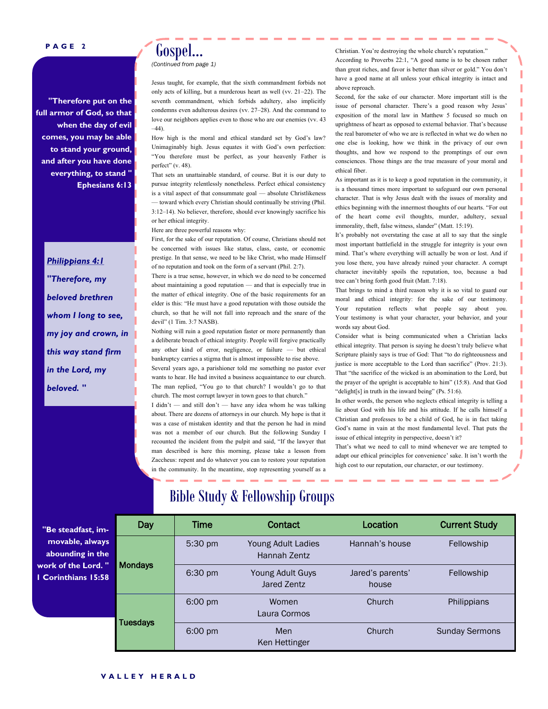#### **P A G E 2**

**"Therefore put on the full armor of God, so that when the day of evil comes, you may be able to stand your ground, and after you have done everything, to stand " Ephesians 6:13** 

> *Philippians 4:1 "Therefore, my beloved brethren whom I long to see, my joy and crown, in this way stand firm in the Lord, my beloved. "*

### Gospel...

*(Continued from page 1)*

Jesus taught, for example, that the sixth commandment forbids not only acts of killing, but a murderous heart as well (vv. 21–22). The seventh commandment, which forbids adultery, also implicitly condemns even adulterous desires (vv. 27–28). And the command to love our neighbors applies even to those who are our enemies (vv. 43  $-44$ 

How high is the moral and ethical standard set by God's law? Unimaginably high. Jesus equates it with God's own perfection: "You therefore must be perfect, as your heavenly Father is perfect" (v. 48).

That sets an unattainable standard, of course. But it is our duty to pursue integrity relentlessly nonetheless. Perfect ethical consistency is a vital aspect of that consummate goal — absolute Christlikeness — toward which every Christian should continually be striving (Phil. 3:12–14). No believer, therefore, should ever knowingly sacrifice his or her ethical integrity.

Here are three powerful reasons why:

First, for the sake of our reputation. Of course, Christians should not be concerned with issues like status, class, caste, or economic prestige. In that sense, we need to be like Christ, who made Himself of no reputation and took on the form of a servant (Phil. 2:7).

There is a true sense, however, in which we do need to be concerned about maintaining a good reputation — and that is especially true in the matter of ethical integrity. One of the basic requirements for an elder is this: "He must have a good reputation with those outside the church, so that he will not fall into reproach and the snare of the devil" (1 Tim. 3:7 NASB).

Nothing will ruin a good reputation faster or more permanently than a deliberate breach of ethical integrity. People will forgive practically any other kind of error, negligence, or failure — but ethical bankruptcy carries a stigma that is almost impossible to rise above. Several years ago, a parishioner told me something no pastor ever

wants to hear. He had invited a business acquaintance to our church. The man replied, "You go to that church? I wouldn't go to that church. The most corrupt lawyer in town goes to that church."

I didn't — and still don't — have any idea whom he was talking about. There are dozens of attorneys in our church. My hope is that it was a case of mistaken identity and that the person he had in mind was not a member of our church. But the following Sunday I recounted the incident from the pulpit and said, "If the lawyer that man described is here this morning, please take a lesson from Zaccheus: repent and do whatever you can to restore your reputation in the community. In the meantime, stop representing yourself as a

Christian. You're destroying the whole church's reputation." According to Proverbs 22:1, "A good name is to be chosen rather than great riches, and favor is better than silver or gold." You don't have a good name at all unless your ethical integrity is intact and above reproach.

Second, for the sake of our character. More important still is the issue of personal character. There's a good reason why Jesus' exposition of the moral law in Matthew 5 focused so much on uprightness of heart as opposed to external behavior. That's because the real barometer of who we are is reflected in what we do when no one else is looking, how we think in the privacy of our own thoughts, and how we respond to the promptings of our own consciences. Those things are the true measure of your moral and ethical fiber.

As important as it is to keep a good reputation in the community, it is a thousand times more important to safeguard our own personal character. That is why Jesus dealt with the issues of morality and ethics beginning with the innermost thoughts of our hearts. "For out of the heart come evil thoughts, murder, adultery, sexual immorality, theft, false witness, slander" (Matt. 15:19).

It's probably not overstating the case at all to say that the single most important battlefield in the struggle for integrity is your own mind. That's where everything will actually be won or lost. And if you lose there, you have already ruined your character. A corrupt character inevitably spoils the reputation, too, because a bad tree can't bring forth good fruit (Matt. 7:18).

That brings to mind a third reason why it is so vital to guard our moral and ethical integrity: for the sake of our testimony. Your reputation reflects what people say about you. Your testimony is what your character, your behavior, and your words say about God.

Consider what is being communicated when a Christian lacks ethical integrity. That person is saying he doesn't truly believe what Scripture plainly says is true of God: That "to do righteousness and justice is more acceptable to the Lord than sacrifice" (Prov. 21:3). That "the sacrifice of the wicked is an abomination to the Lord, but the prayer of the upright is acceptable to him" (15:8). And that God "delight[s] in truth in the inward being" (Ps. 51:6).

In other words, the person who neglects ethical integrity is telling a lie about God with his life and his attitude. If he calls himself a Christian and professes to be a child of God, he is in fact taking God's name in vain at the most fundamental level. That puts the issue of ethical integrity in perspective, doesn't it?

That's what we need to call to mind whenever we are tempted to adapt our ethical principles for convenience' sake. It isn't worth the high cost to our reputation, our character, or our testimony.

### Bible Study & Fellowship Groups

| "Be steadfast, im-                       | Day            | Time              | Contact                                   | Location                  | <b>Current Study</b>  |
|------------------------------------------|----------------|-------------------|-------------------------------------------|---------------------------|-----------------------|
| movable, always<br>abounding in the      |                | $5:30 \text{ pm}$ | Young Adult Ladies<br><b>Hannah Zentz</b> | Hannah's house            | Fellowship            |
| work of the Lord. "<br>Corinthians 15:58 | <b>Mondays</b> | $6:30 \text{ pm}$ | Young Adult Guys<br>Jared Zentz           | Jared's parents'<br>house | Fellowship            |
|                                          | Tuesdays       | $6:00 \text{ pm}$ | Women<br>Laura Cormos                     | Church                    | Philippians           |
|                                          |                | $6:00 \text{ pm}$ | Men<br>Ken Hettinger                      | Church                    | <b>Sunday Sermons</b> |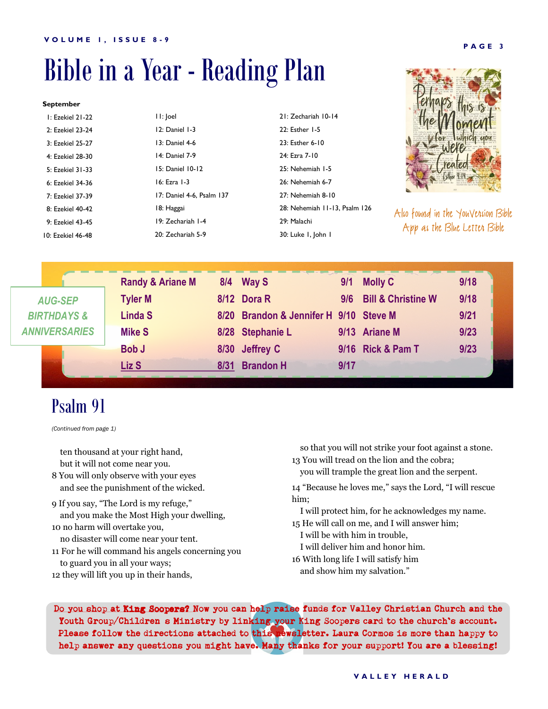# Bible in a Year - Reading Plan

### **September**

| I: Ezekiel 21-22  | II: Joel                  | 21: Zechariah 10-14           |      |
|-------------------|---------------------------|-------------------------------|------|
| 2: Ezekiel 23-24  | 12: Daniel 1-3            | 22: Esther 1-5                |      |
| 3: Ezekiel 25-27  | 13: Daniel 4-6            | 23: Esther 6-10               |      |
| 4: Ezekiel 28-30  | 14: Daniel 7-9            | 24: Ezra 7-10                 |      |
| 5: Ezekiel 31-33  | 15: Daniel 10-12          | 25: Nehemiah 1-5              |      |
| 6: Ezekiel 34-36  | 16: Ezra 1-3              | 26: Nehemiah 6-7              |      |
| 7: Ezekiel 37-39  | 17: Daniel 4-6, Psalm 137 | 27: Nehemiah 8-10             | ь    |
| 8: Ezekiel 40-42  | 18: Haggai                | 28: Nehemiah 11-13, Psalm 126 | Also |
| 9: Ezekiel 43-45  | 19: Zechariah 1-4         | 29: Malachi                   | A    |
| 10: Ezekiel 46-48 | 20: Zechariah 5-9         | 30: Luke I, John I            |      |
|                   |                           |                               |      |



found in the YouVension Bible pp as the Blue Letter Bible

|                        | <b>Randy &amp; Ariane M</b> |      | 8/4 Way S                              | 9/1  | <b>Molly C</b>                | 9/18 |
|------------------------|-----------------------------|------|----------------------------------------|------|-------------------------------|------|
| <b>AUG-SEP</b>         | <b>Tyler M</b>              |      | 8/12 Dora R                            | 9/6  | <b>Bill &amp; Christine W</b> | 9/18 |
| <b>BIRTHDAYS &amp;</b> | <b>Linda S</b>              |      | 8/20 Brandon & Jennifer H 9/10 Steve M |      |                               | 9/21 |
| <b>ANNIVERSARIES</b>   | <b>Mike S</b>               |      | 8/28 Stephanie L                       |      | 9/13 Ariane M                 | 9/23 |
|                        | <b>Bob J</b>                |      | 8/30 Jeffrey C                         |      | 9/16 Rick & Pam T             | 9/23 |
|                        | Liz S                       | 8/31 | <b>Brandon H</b>                       | 9/17 |                               |      |

### Psalm 91

*(Continued from page 1)*

 ten thousand at your right hand, but it will not come near you.

- 8 You will only observe with your eyes and see the punishment of the wicked.
- 9 If you say, "The Lord is my refuge," and you make the Most High your dwelling,
- 10 no harm will overtake you, no disaster will come near your tent.
- 11 For he will command his angels concerning you to guard you in all your ways;
- 12 they will lift you up in their hands,

 so that you will not strike your foot against a stone. 13 You will tread on the lion and the cobra;

you will trample the great lion and the serpent.

14 "Because he loves me," says the Lord, "I will rescue him;

- I will protect him, for he acknowledges my name.
- 15 He will call on me, and I will answer him;
	- I will be with him in trouble,
- I will deliver him and honor him.
- 16 With long life I will satisfy him and show him my salvation."

Do you shop at King Soopers? Now you can help raise funds for Valley Christian Church and the Youth Group/Children s Ministry by linking your King Soopers card to the church's account. Please follow the directions attached to this newsletter. Laura Cormos is more than happy to help answer any questions you might have. Many thanks for your support! You are a blessing!

### **P A G E 3**